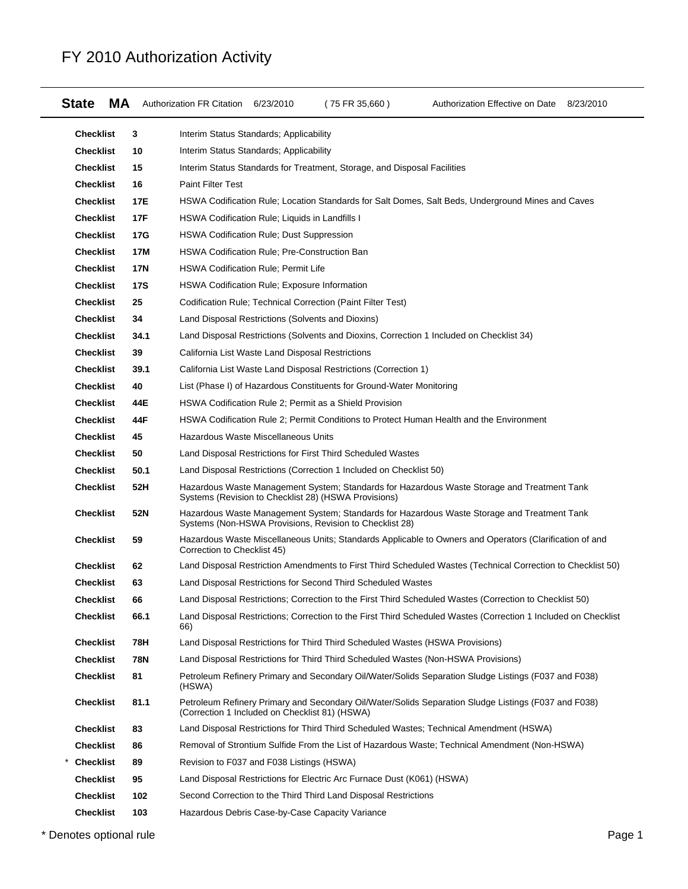| МA<br><b>State</b> |            | Authorization FR Citation<br>6/23/2010                                            | (75 FR 35,660) | Authorization Effective on Date 8/23/2010                                                                      |  |
|--------------------|------------|-----------------------------------------------------------------------------------|----------------|----------------------------------------------------------------------------------------------------------------|--|
| <b>Checklist</b>   | 3          | Interim Status Standards; Applicability                                           |                |                                                                                                                |  |
| <b>Checklist</b>   | 10         | Interim Status Standards; Applicability                                           |                |                                                                                                                |  |
| <b>Checklist</b>   | 15         | Interim Status Standards for Treatment, Storage, and Disposal Facilities          |                |                                                                                                                |  |
| <b>Checklist</b>   | 16         | <b>Paint Filter Test</b>                                                          |                |                                                                                                                |  |
| <b>Checklist</b>   | 17E        |                                                                                   |                | HSWA Codification Rule; Location Standards for Salt Domes, Salt Beds, Underground Mines and Caves              |  |
| <b>Checklist</b>   | 17F        | HSWA Codification Rule; Liquids in Landfills I                                    |                |                                                                                                                |  |
| <b>Checklist</b>   | 17G        | <b>HSWA Codification Rule: Dust Suppression</b>                                   |                |                                                                                                                |  |
| <b>Checklist</b>   | 17M        | HSWA Codification Rule; Pre-Construction Ban                                      |                |                                                                                                                |  |
| <b>Checklist</b>   | <b>17N</b> | <b>HSWA Codification Rule; Permit Life</b>                                        |                |                                                                                                                |  |
| <b>Checklist</b>   | <b>17S</b> | HSWA Codification Rule; Exposure Information                                      |                |                                                                                                                |  |
| <b>Checklist</b>   | 25         | Codification Rule; Technical Correction (Paint Filter Test)                       |                |                                                                                                                |  |
| <b>Checklist</b>   | 34         | Land Disposal Restrictions (Solvents and Dioxins)                                 |                |                                                                                                                |  |
| <b>Checklist</b>   | 34.1       |                                                                                   |                | Land Disposal Restrictions (Solvents and Dioxins, Correction 1 Included on Checklist 34)                       |  |
| <b>Checklist</b>   | 39         | California List Waste Land Disposal Restrictions                                  |                |                                                                                                                |  |
| <b>Checklist</b>   | 39.1       | California List Waste Land Disposal Restrictions (Correction 1)                   |                |                                                                                                                |  |
| <b>Checklist</b>   | 40         | List (Phase I) of Hazardous Constituents for Ground-Water Monitoring              |                |                                                                                                                |  |
| <b>Checklist</b>   | 44E        | HSWA Codification Rule 2; Permit as a Shield Provision                            |                |                                                                                                                |  |
| <b>Checklist</b>   | 44F        |                                                                                   |                | HSWA Codification Rule 2; Permit Conditions to Protect Human Health and the Environment                        |  |
| <b>Checklist</b>   | 45         | Hazardous Waste Miscellaneous Units                                               |                |                                                                                                                |  |
| <b>Checklist</b>   | 50         | Land Disposal Restrictions for First Third Scheduled Wastes                       |                |                                                                                                                |  |
| <b>Checklist</b>   | 50.1       | Land Disposal Restrictions (Correction 1 Included on Checklist 50)                |                |                                                                                                                |  |
| <b>Checklist</b>   | 52H        | Systems (Revision to Checklist 28) (HSWA Provisions)                              |                | Hazardous Waste Management System; Standards for Hazardous Waste Storage and Treatment Tank                    |  |
| <b>Checklist</b>   | 52N        | Systems (Non-HSWA Provisions, Revision to Checklist 28)                           |                | Hazardous Waste Management System; Standards for Hazardous Waste Storage and Treatment Tank                    |  |
| <b>Checklist</b>   | 59         | Correction to Checklist 45)                                                       |                | Hazardous Waste Miscellaneous Units; Standards Applicable to Owners and Operators (Clarification of and        |  |
| <b>Checklist</b>   | 62         |                                                                                   |                | Land Disposal Restriction Amendments to First Third Scheduled Wastes (Technical Correction to Checklist 50)    |  |
| <b>Checklist</b>   | 63         | Land Disposal Restrictions for Second Third Scheduled Wastes                      |                |                                                                                                                |  |
| <b>Checklist</b>   | 66         |                                                                                   |                | Land Disposal Restrictions; Correction to the First Third Scheduled Wastes (Correction to Checklist 50)        |  |
| <b>Checklist</b>   | 66.1       | 66)                                                                               |                | Land Disposal Restrictions; Correction to the First Third Scheduled Wastes (Correction 1 Included on Checklist |  |
| <b>Checklist</b>   | 78H        | Land Disposal Restrictions for Third Third Scheduled Wastes (HSWA Provisions)     |                |                                                                                                                |  |
| <b>Checklist</b>   | 78N        | Land Disposal Restrictions for Third Third Scheduled Wastes (Non-HSWA Provisions) |                |                                                                                                                |  |
| <b>Checklist</b>   | 81         | (HSWA)                                                                            |                | Petroleum Refinery Primary and Secondary Oil/Water/Solids Separation Sludge Listings (F037 and F038)           |  |
| <b>Checklist</b>   | 81.1       | (Correction 1 Included on Checklist 81) (HSWA)                                    |                | Petroleum Refinery Primary and Secondary Oil/Water/Solids Separation Sludge Listings (F037 and F038)           |  |
| <b>Checklist</b>   | 83         |                                                                                   |                | Land Disposal Restrictions for Third Third Scheduled Wastes; Technical Amendment (HSWA)                        |  |
| <b>Checklist</b>   | 86         |                                                                                   |                | Removal of Strontium Sulfide From the List of Hazardous Waste; Technical Amendment (Non-HSWA)                  |  |
| <b>Checklist</b>   | 89         | Revision to F037 and F038 Listings (HSWA)                                         |                |                                                                                                                |  |
| <b>Checklist</b>   | 95         | Land Disposal Restrictions for Electric Arc Furnace Dust (K061) (HSWA)            |                |                                                                                                                |  |
| <b>Checklist</b>   | 102        | Second Correction to the Third Third Land Disposal Restrictions                   |                |                                                                                                                |  |
| <b>Checklist</b>   | 103        | Hazardous Debris Case-by-Case Capacity Variance                                   |                |                                                                                                                |  |

\* Denotes optional rule Page 1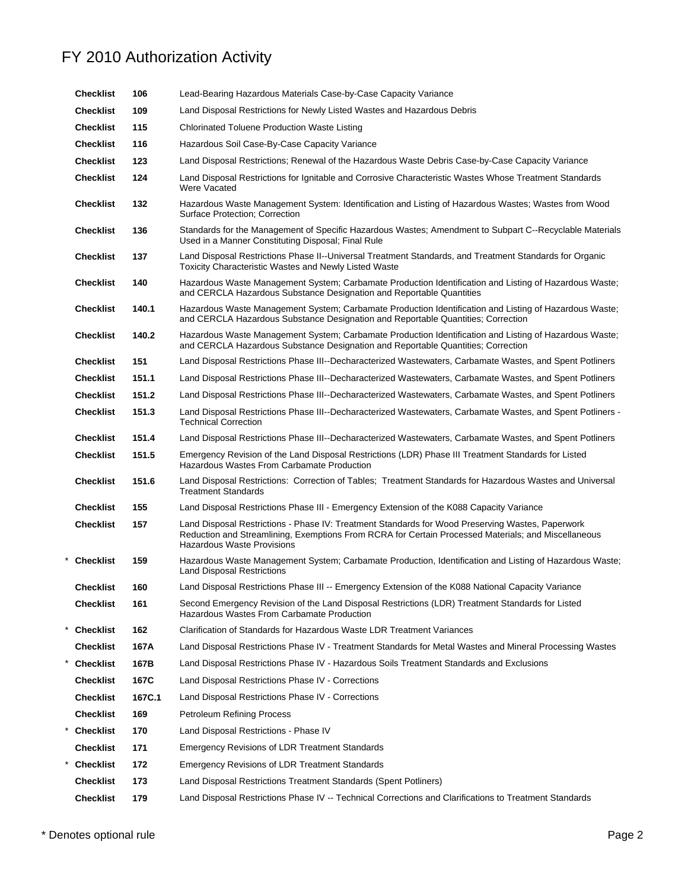| Checklist        | 106    | Lead-Bearing Hazardous Materials Case-by-Case Capacity Variance                                                                                                                                                                              |  |
|------------------|--------|----------------------------------------------------------------------------------------------------------------------------------------------------------------------------------------------------------------------------------------------|--|
| <b>Checklist</b> | 109    | Land Disposal Restrictions for Newly Listed Wastes and Hazardous Debris                                                                                                                                                                      |  |
| <b>Checklist</b> | 115    | <b>Chlorinated Toluene Production Waste Listing</b>                                                                                                                                                                                          |  |
| <b>Checklist</b> | 116    | Hazardous Soil Case-By-Case Capacity Variance                                                                                                                                                                                                |  |
| <b>Checklist</b> | 123    | Land Disposal Restrictions; Renewal of the Hazardous Waste Debris Case-by-Case Capacity Variance                                                                                                                                             |  |
| <b>Checklist</b> | 124    | Land Disposal Restrictions for Ignitable and Corrosive Characteristic Wastes Whose Treatment Standards<br>Were Vacated                                                                                                                       |  |
| Checklist        | 132    | Hazardous Waste Management System: Identification and Listing of Hazardous Wastes; Wastes from Wood<br>Surface Protection; Correction                                                                                                        |  |
| Checklist        | 136    | Standards for the Management of Specific Hazardous Wastes; Amendment to Subpart C--Recyclable Materials<br>Used in a Manner Constituting Disposal; Final Rule                                                                                |  |
| Checklist        | 137    | Land Disposal Restrictions Phase II--Universal Treatment Standards, and Treatment Standards for Organic<br><b>Toxicity Characteristic Wastes and Newly Listed Waste</b>                                                                      |  |
| Checklist        | 140    | Hazardous Waste Management System; Carbamate Production Identification and Listing of Hazardous Waste;<br>and CERCLA Hazardous Substance Designation and Reportable Quantities                                                               |  |
| Checklist        | 140.1  | Hazardous Waste Management System; Carbamate Production Identification and Listing of Hazardous Waste;<br>and CERCLA Hazardous Substance Designation and Reportable Quantities; Correction                                                   |  |
| Checklist        | 140.2  | Hazardous Waste Management System; Carbamate Production Identification and Listing of Hazardous Waste;<br>and CERCLA Hazardous Substance Designation and Reportable Quantities; Correction                                                   |  |
| <b>Checklist</b> | 151    | Land Disposal Restrictions Phase III--Decharacterized Wastewaters, Carbamate Wastes, and Spent Potliners                                                                                                                                     |  |
| Checklist        | 151.1  | Land Disposal Restrictions Phase III--Decharacterized Wastewaters, Carbamate Wastes, and Spent Potliners                                                                                                                                     |  |
| <b>Checklist</b> | 151.2  | Land Disposal Restrictions Phase III--Decharacterized Wastewaters, Carbamate Wastes, and Spent Potliners                                                                                                                                     |  |
| Checklist        | 151.3  | Land Disposal Restrictions Phase III--Decharacterized Wastewaters, Carbamate Wastes, and Spent Potliners -<br><b>Technical Correction</b>                                                                                                    |  |
| <b>Checklist</b> | 151.4  | Land Disposal Restrictions Phase III--Decharacterized Wastewaters, Carbamate Wastes, and Spent Potliners                                                                                                                                     |  |
| <b>Checklist</b> | 151.5  | Emergency Revision of the Land Disposal Restrictions (LDR) Phase III Treatment Standards for Listed<br>Hazardous Wastes From Carbamate Production                                                                                            |  |
| <b>Checklist</b> | 151.6  | Land Disposal Restrictions: Correction of Tables; Treatment Standards for Hazardous Wastes and Universal<br><b>Treatment Standards</b>                                                                                                       |  |
| <b>Checklist</b> | 155    | Land Disposal Restrictions Phase III - Emergency Extension of the K088 Capacity Variance                                                                                                                                                     |  |
| Checklist        | 157    | Land Disposal Restrictions - Phase IV: Treatment Standards for Wood Preserving Wastes, Paperwork<br>Reduction and Streamlining, Exemptions From RCRA for Certain Processed Materials; and Miscellaneous<br><b>Hazardous Waste Provisions</b> |  |
| * Checklist      | 159    | Hazardous Waste Management System; Carbamate Production, Identification and Listing of Hazardous Waste;<br><b>Land Disposal Restrictions</b>                                                                                                 |  |
| Checklist        | 160    | Land Disposal Restrictions Phase III -- Emergency Extension of the K088 National Capacity Variance                                                                                                                                           |  |
| <b>Checklist</b> | 161    | Second Emergency Revision of the Land Disposal Restrictions (LDR) Treatment Standards for Listed<br>Hazardous Wastes From Carbamate Production                                                                                               |  |
| <b>Checklist</b> | 162    | Clarification of Standards for Hazardous Waste LDR Treatment Variances                                                                                                                                                                       |  |
| <b>Checklist</b> | 167A   | Land Disposal Restrictions Phase IV - Treatment Standards for Metal Wastes and Mineral Processing Wastes                                                                                                                                     |  |
| <b>Checklist</b> | 167B   | Land Disposal Restrictions Phase IV - Hazardous Soils Treatment Standards and Exclusions                                                                                                                                                     |  |
| <b>Checklist</b> | 167C   | Land Disposal Restrictions Phase IV - Corrections                                                                                                                                                                                            |  |
| <b>Checklist</b> | 167C.1 | Land Disposal Restrictions Phase IV - Corrections                                                                                                                                                                                            |  |
| <b>Checklist</b> | 169    | <b>Petroleum Refining Process</b>                                                                                                                                                                                                            |  |
| * Checklist      | 170    | Land Disposal Restrictions - Phase IV                                                                                                                                                                                                        |  |
| <b>Checklist</b> | 171    | Emergency Revisions of LDR Treatment Standards                                                                                                                                                                                               |  |
| <b>Checklist</b> | 172    | <b>Emergency Revisions of LDR Treatment Standards</b>                                                                                                                                                                                        |  |
| <b>Checklist</b> | 173    | Land Disposal Restrictions Treatment Standards (Spent Potliners)                                                                                                                                                                             |  |
| <b>Checklist</b> | 179    | Land Disposal Restrictions Phase IV -- Technical Corrections and Clarifications to Treatment Standards                                                                                                                                       |  |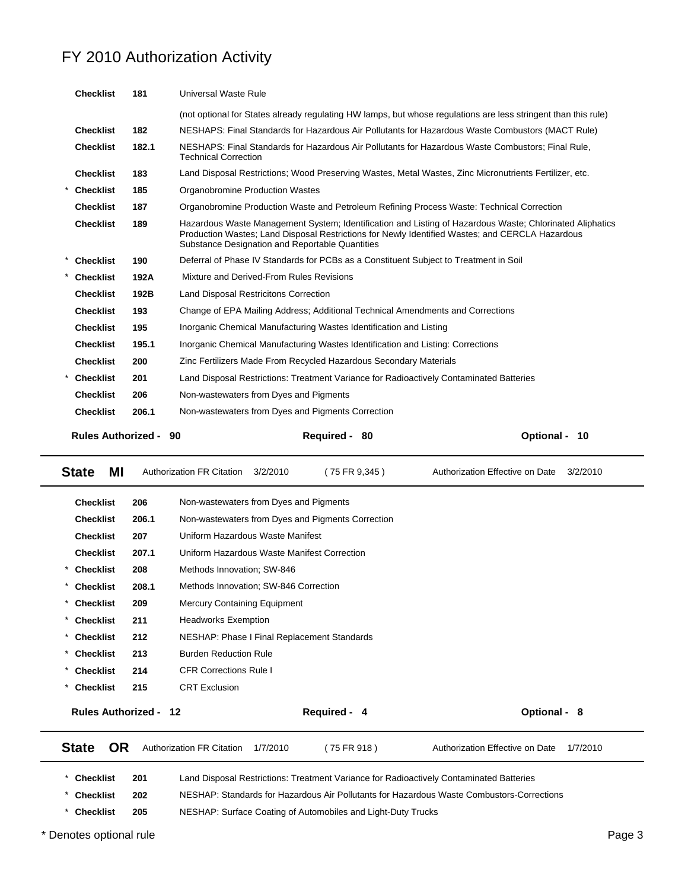| <b>Checklist</b>          | 181   | Universal Waste Rule                                                                                                                                                                                                                                           |                  |
|---------------------------|-------|----------------------------------------------------------------------------------------------------------------------------------------------------------------------------------------------------------------------------------------------------------------|------------------|
|                           |       | (not optional for States already regulating HW lamps, but whose regulations are less stringent than this rule)                                                                                                                                                 |                  |
| <b>Checklist</b>          | 182   | NESHAPS: Final Standards for Hazardous Air Pollutants for Hazardous Waste Combustors (MACT Rule)                                                                                                                                                               |                  |
| <b>Checklist</b>          | 182.1 | NESHAPS: Final Standards for Hazardous Air Pollutants for Hazardous Waste Combustors; Final Rule,<br><b>Technical Correction</b>                                                                                                                               |                  |
| <b>Checklist</b>          | 183   | Land Disposal Restrictions; Wood Preserving Wastes, Metal Wastes, Zinc Micronutrients Fertilizer, etc.                                                                                                                                                         |                  |
| <b>Checklist</b>          | 185   | Organobromine Production Wastes                                                                                                                                                                                                                                |                  |
| <b>Checklist</b>          | 187   | Organobromine Production Waste and Petroleum Refining Process Waste: Technical Correction                                                                                                                                                                      |                  |
| <b>Checklist</b>          | 189   | Hazardous Waste Management System; Identification and Listing of Hazardous Waste; Chlorinated Aliphatics<br>Production Wastes; Land Disposal Restrictions for Newly Identified Wastes; and CERCLA Hazardous<br>Substance Designation and Reportable Quantities |                  |
| <b>Checklist</b>          | 190   | Deferral of Phase IV Standards for PCBs as a Constituent Subject to Treatment in Soil                                                                                                                                                                          |                  |
| <b>Checklist</b>          | 192A  | Mixture and Derived-From Rules Revisions                                                                                                                                                                                                                       |                  |
| <b>Checklist</b>          | 192B  | Land Disposal Restricitons Correction                                                                                                                                                                                                                          |                  |
| <b>Checklist</b>          | 193   | Change of EPA Mailing Address; Additional Technical Amendments and Corrections                                                                                                                                                                                 |                  |
| <b>Checklist</b>          | 195   | Inorganic Chemical Manufacturing Wastes Identification and Listing                                                                                                                                                                                             |                  |
| <b>Checklist</b>          | 195.1 | Inorganic Chemical Manufacturing Wastes Identification and Listing: Corrections                                                                                                                                                                                |                  |
| <b>Checklist</b>          | 200   | Zinc Fertilizers Made From Recycled Hazardous Secondary Materials                                                                                                                                                                                              |                  |
| <b>Checklist</b>          | 201   | Land Disposal Restrictions: Treatment Variance for Radioactively Contaminated Batteries                                                                                                                                                                        |                  |
| <b>Checklist</b>          | 206   | Non-wastewaters from Dyes and Pigments                                                                                                                                                                                                                         |                  |
| <b>Checklist</b>          | 206.1 | Non-wastewaters from Dyes and Pigments Correction                                                                                                                                                                                                              |                  |
| <b>Rules Authorized -</b> |       | 90<br>Required - 80                                                                                                                                                                                                                                            | Optional -<br>10 |

| МI<br><b>State</b>           | <b>Authorization FR Citation</b>           | (75 FR 9.345 )<br>3/2/2010                        | Authorization Effective on Date                                                         | 3/2/2010 |
|------------------------------|--------------------------------------------|---------------------------------------------------|-----------------------------------------------------------------------------------------|----------|
| <b>Checklist</b>             | 206                                        | Non-wastewaters from Dyes and Pigments            |                                                                                         |          |
| <b>Checklist</b>             | 206.1                                      | Non-wastewaters from Dyes and Pigments Correction |                                                                                         |          |
| <b>Checklist</b>             | 207                                        | Uniform Hazardous Waste Manifest                  |                                                                                         |          |
| <b>Checklist</b>             | 207.1                                      | Uniform Hazardous Waste Manifest Correction       |                                                                                         |          |
| $^\star$<br><b>Checklist</b> | 208<br>Methods Innovation; SW-846          |                                                   |                                                                                         |          |
| <b>Checklist</b><br>$^\star$ | 208.1                                      | Methods Innovation: SW-846 Correction             |                                                                                         |          |
| <b>Checklist</b><br>$^\star$ | 209<br><b>Mercury Containing Equipment</b> |                                                   |                                                                                         |          |
| <b>Checklist</b><br>*        | 211<br><b>Headworks Exemption</b>          |                                                   |                                                                                         |          |
| <b>Checklist</b>             | 212                                        | NESHAP: Phase I Final Replacement Standards       |                                                                                         |          |
| <b>Checklist</b>             | <b>Burden Reduction Rule</b><br>213        |                                                   |                                                                                         |          |
| <b>Checklist</b>             | <b>CFR Corrections Rule I</b><br>214       |                                                   |                                                                                         |          |
| <b>Checklist</b>             | <b>CRT Exclusion</b><br>215                |                                                   |                                                                                         |          |
| <b>Rules Authorized -</b>    | 12                                         | Required - 4                                      | Optional - 8                                                                            |          |
| <b>OR</b><br><b>State</b>    | <b>Authorization FR Citation</b>           | 1/7/2010<br>(75 FR 918)                           | Authorization Effective on Date                                                         | 1/7/2010 |
| <b>Checklist</b>             | 201                                        |                                                   | Land Disposal Restrictions: Treatment Variance for Radioactively Contaminated Batteries |          |

\* **Checklist 205** NESHAP: Surface Coating of Automobiles and Light-Duty Trucks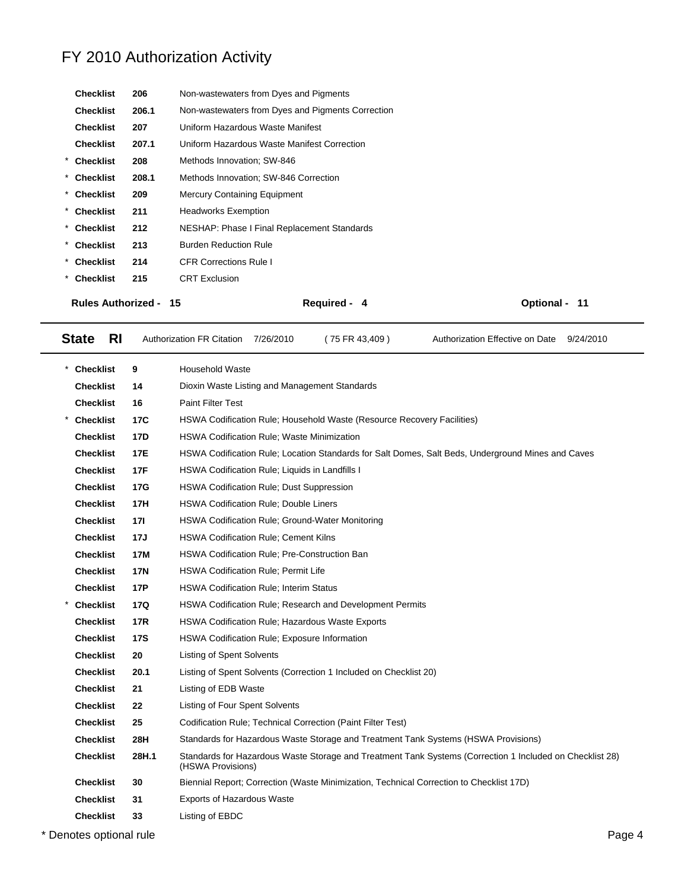| <b>Checklist</b>             | 206   | Non-wastewaters from Dyes and Pigments            |               |
|------------------------------|-------|---------------------------------------------------|---------------|
| <b>Checklist</b>             | 206.1 | Non-wastewaters from Dyes and Pigments Correction |               |
| <b>Checklist</b>             | 207   | Uniform Hazardous Waste Manifest                  |               |
| <b>Checklist</b>             | 207.1 | Uniform Hazardous Waste Manifest Correction       |               |
| * Checklist                  | 208   | Methods Innovation; SW-846                        |               |
| * Checklist                  | 208.1 | Methods Innovation; SW-846 Correction             |               |
| * Checklist                  | 209   | <b>Mercury Containing Equipment</b>               |               |
| * Checklist                  | 211   | <b>Headworks Exemption</b>                        |               |
| * Checklist                  | 212   | NESHAP: Phase I Final Replacement Standards       |               |
| * Checklist                  | 213   | <b>Burden Reduction Rule</b>                      |               |
| * Checklist                  | 214   | <b>CFR Corrections Rule I</b>                     |               |
| * Checklist                  | 215   | <b>CRT</b> Exclusion                              |               |
| <b>Rules Authorized - 15</b> |       | Required - 4                                      | Optional - 11 |

State RI Authorization FR Citation 7/26/2010 (75 FR 43,409) Authorization Effective on Date 9/24/2010

| <b>Checklist</b> | 9          | <b>Household Waste</b>                                                                                                        |
|------------------|------------|-------------------------------------------------------------------------------------------------------------------------------|
| <b>Checklist</b> | 14         | Dioxin Waste Listing and Management Standards                                                                                 |
| <b>Checklist</b> | 16         | <b>Paint Filter Test</b>                                                                                                      |
| <b>Checklist</b> | 17C        | HSWA Codification Rule; Household Waste (Resource Recovery Facilities)                                                        |
| <b>Checklist</b> | <b>17D</b> | <b>HSWA Codification Rule: Waste Minimization</b>                                                                             |
| <b>Checklist</b> | 17E        | HSWA Codification Rule; Location Standards for Salt Domes, Salt Beds, Underground Mines and Caves                             |
| <b>Checklist</b> | <b>17F</b> | HSWA Codification Rule; Liquids in Landfills I                                                                                |
| <b>Checklist</b> | 17G        | HSWA Codification Rule; Dust Suppression                                                                                      |
| <b>Checklist</b> | 17H        | <b>HSWA Codification Rule; Double Liners</b>                                                                                  |
| <b>Checklist</b> | 17I        | HSWA Codification Rule; Ground-Water Monitoring                                                                               |
| <b>Checklist</b> | 17J        | <b>HSWA Codification Rule; Cement Kilns</b>                                                                                   |
| <b>Checklist</b> | 17M        | HSWA Codification Rule; Pre-Construction Ban                                                                                  |
| <b>Checklist</b> | <b>17N</b> | <b>HSWA Codification Rule: Permit Life</b>                                                                                    |
| <b>Checklist</b> | <b>17P</b> | <b>HSWA Codification Rule: Interim Status</b>                                                                                 |
| <b>Checklist</b> | <b>17Q</b> | <b>HSWA Codification Rule; Research and Development Permits</b>                                                               |
| <b>Checklist</b> | <b>17R</b> | <b>HSWA Codification Rule; Hazardous Waste Exports</b>                                                                        |
| <b>Checklist</b> | <b>17S</b> | HSWA Codification Rule; Exposure Information                                                                                  |
| <b>Checklist</b> | 20         | Listing of Spent Solvents                                                                                                     |
| <b>Checklist</b> | 20.1       | Listing of Spent Solvents (Correction 1 Included on Checklist 20)                                                             |
| <b>Checklist</b> | 21         | Listing of EDB Waste                                                                                                          |
| <b>Checklist</b> | 22         | Listing of Four Spent Solvents                                                                                                |
| <b>Checklist</b> | 25         | Codification Rule; Technical Correction (Paint Filter Test)                                                                   |
| <b>Checklist</b> | 28H        | Standards for Hazardous Waste Storage and Treatment Tank Systems (HSWA Provisions)                                            |
| <b>Checklist</b> | 28H.1      | Standards for Hazardous Waste Storage and Treatment Tank Systems (Correction 1 Included on Checklist 28)<br>(HSWA Provisions) |
| <b>Checklist</b> | 30         | Biennial Report; Correction (Waste Minimization, Technical Correction to Checklist 17D)                                       |
| <b>Checklist</b> | 31         | <b>Exports of Hazardous Waste</b>                                                                                             |
| Checklist        | 33         | Listing of EBDC                                                                                                               |

\* Denotes optional rule Page 4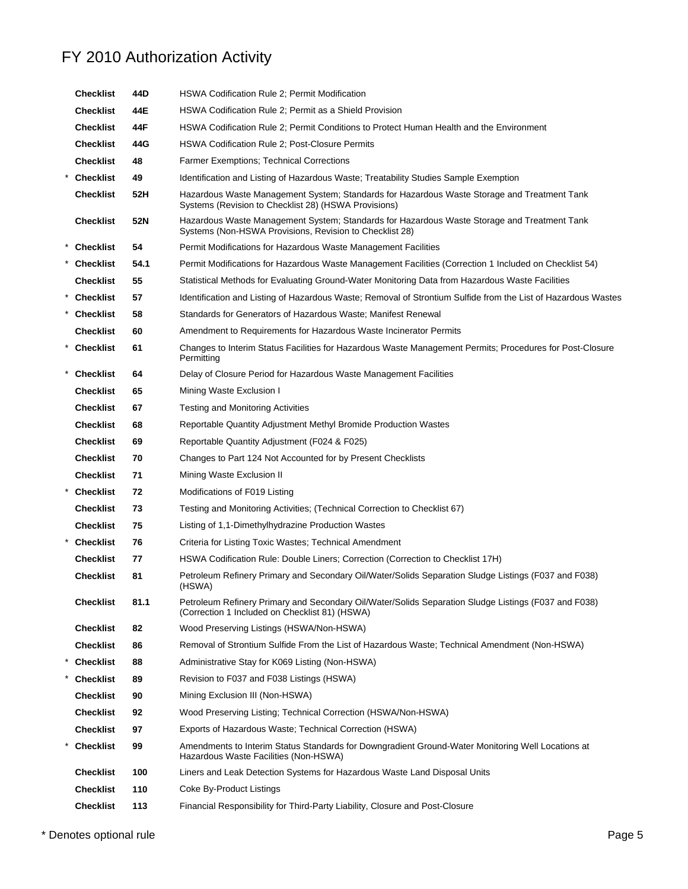| <b>Checklist</b> | 44D  | HSWA Codification Rule 2; Permit Modification                                                                                                          |
|------------------|------|--------------------------------------------------------------------------------------------------------------------------------------------------------|
| <b>Checklist</b> | 44E  | HSWA Codification Rule 2; Permit as a Shield Provision                                                                                                 |
| <b>Checklist</b> | 44F  | HSWA Codification Rule 2; Permit Conditions to Protect Human Health and the Environment                                                                |
| <b>Checklist</b> | 44G  | <b>HSWA Codification Rule 2; Post-Closure Permits</b>                                                                                                  |
| <b>Checklist</b> | 48   | <b>Farmer Exemptions: Technical Corrections</b>                                                                                                        |
| * Checklist      | 49   | Identification and Listing of Hazardous Waste; Treatability Studies Sample Exemption                                                                   |
| <b>Checklist</b> | 52H  | Hazardous Waste Management System; Standards for Hazardous Waste Storage and Treatment Tank<br>Systems (Revision to Checklist 28) (HSWA Provisions)    |
| <b>Checklist</b> | 52N  | Hazardous Waste Management System; Standards for Hazardous Waste Storage and Treatment Tank<br>Systems (Non-HSWA Provisions, Revision to Checklist 28) |
| * Checklist      | 54   | Permit Modifications for Hazardous Waste Management Facilities                                                                                         |
| * Checklist      | 54.1 | Permit Modifications for Hazardous Waste Management Facilities (Correction 1 Included on Checklist 54)                                                 |
| <b>Checklist</b> | 55   | Statistical Methods for Evaluating Ground-Water Monitoring Data from Hazardous Waste Facilities                                                        |
| * Checklist      | 57   | Identification and Listing of Hazardous Waste; Removal of Strontium Sulfide from the List of Hazardous Wastes                                          |
| * Checklist      | 58   | Standards for Generators of Hazardous Waste; Manifest Renewal                                                                                          |
| <b>Checklist</b> | 60   | Amendment to Requirements for Hazardous Waste Incinerator Permits                                                                                      |
| * Checklist      | 61   | Changes to Interim Status Facilities for Hazardous Waste Management Permits; Procedures for Post-Closure<br>Permitting                                 |
| * Checklist      | 64   | Delay of Closure Period for Hazardous Waste Management Facilities                                                                                      |
| <b>Checklist</b> | 65   | Mining Waste Exclusion I                                                                                                                               |
| <b>Checklist</b> | 67   | Testing and Monitoring Activities                                                                                                                      |
| <b>Checklist</b> | 68   | Reportable Quantity Adjustment Methyl Bromide Production Wastes                                                                                        |
| <b>Checklist</b> | 69   | Reportable Quantity Adjustment (F024 & F025)                                                                                                           |
| <b>Checklist</b> | 70   | Changes to Part 124 Not Accounted for by Present Checklists                                                                                            |
| <b>Checklist</b> | 71   | Mining Waste Exclusion II                                                                                                                              |
| <b>Checklist</b> | 72   | Modifications of F019 Listing                                                                                                                          |
| <b>Checklist</b> | 73   | Testing and Monitoring Activities; (Technical Correction to Checklist 67)                                                                              |
| <b>Checklist</b> | 75   | Listing of 1,1-Dimethylhydrazine Production Wastes                                                                                                     |
| * Checklist      | 76   | Criteria for Listing Toxic Wastes; Technical Amendment                                                                                                 |
| <b>Checklist</b> | 77   | HSWA Codification Rule: Double Liners; Correction (Correction to Checklist 17H)                                                                        |
| <b>Checklist</b> | 81   | Petroleum Refinery Primary and Secondary Oil/Water/Solids Separation Sludge Listings (F037 and F038)<br>(HSWA)                                         |
| <b>Checklist</b> | 81.1 | Petroleum Refinery Primary and Secondary Oil/Water/Solids Separation Sludge Listings (F037 and F038)<br>(Correction 1 Included on Checklist 81) (HSWA) |
| <b>Checklist</b> | 82   | Wood Preserving Listings (HSWA/Non-HSWA)                                                                                                               |
| <b>Checklist</b> | 86   | Removal of Strontium Sulfide From the List of Hazardous Waste; Technical Amendment (Non-HSWA)                                                          |
| <b>Checklist</b> | 88   | Administrative Stay for K069 Listing (Non-HSWA)                                                                                                        |
| <b>Checklist</b> | 89   | Revision to F037 and F038 Listings (HSWA)                                                                                                              |
| <b>Checklist</b> | 90   | Mining Exclusion III (Non-HSWA)                                                                                                                        |
| <b>Checklist</b> | 92   | Wood Preserving Listing; Technical Correction (HSWA/Non-HSWA)                                                                                          |
| <b>Checklist</b> | 97   | Exports of Hazardous Waste; Technical Correction (HSWA)                                                                                                |
| <b>Checklist</b> | 99   | Amendments to Interim Status Standards for Downgradient Ground-Water Monitoring Well Locations at<br>Hazardous Waste Facilities (Non-HSWA)             |
| <b>Checklist</b> | 100  | Liners and Leak Detection Systems for Hazardous Waste Land Disposal Units                                                                              |
| <b>Checklist</b> | 110  | Coke By-Product Listings                                                                                                                               |
| <b>Checklist</b> | 113  | Financial Responsibility for Third-Party Liability, Closure and Post-Closure                                                                           |
|                  |      |                                                                                                                                                        |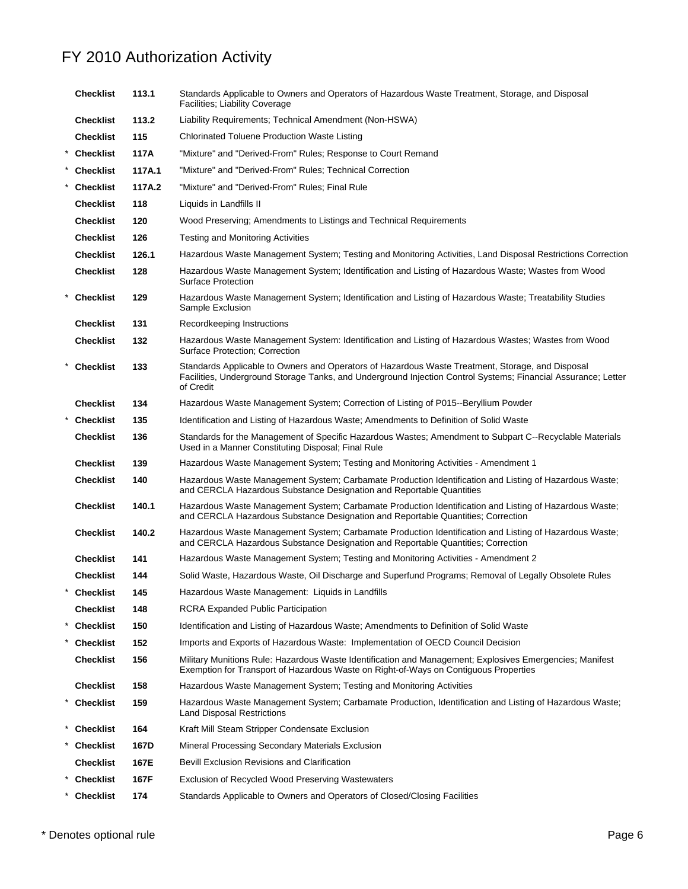| <b>Checklist</b> | 113.1  | Standards Applicable to Owners and Operators of Hazardous Waste Treatment, Storage, and Disposal<br>Facilities; Liability Coverage                                                                                             |
|------------------|--------|--------------------------------------------------------------------------------------------------------------------------------------------------------------------------------------------------------------------------------|
| <b>Checklist</b> | 113.2  | Liability Requirements; Technical Amendment (Non-HSWA)                                                                                                                                                                         |
| <b>Checklist</b> | 115    | Chlorinated Toluene Production Waste Listing                                                                                                                                                                                   |
| * Checklist      | 117A   | "Mixture" and "Derived-From" Rules; Response to Court Remand                                                                                                                                                                   |
| * Checklist      | 117A.1 | "Mixture" and "Derived-From" Rules: Technical Correction                                                                                                                                                                       |
| <b>Checklist</b> | 117A.2 | "Mixture" and "Derived-From" Rules; Final Rule                                                                                                                                                                                 |
| <b>Checklist</b> | 118    | Liquids in Landfills II                                                                                                                                                                                                        |
| <b>Checklist</b> | 120    | Wood Preserving; Amendments to Listings and Technical Requirements                                                                                                                                                             |
| <b>Checklist</b> | 126    | <b>Testing and Monitoring Activities</b>                                                                                                                                                                                       |
| <b>Checklist</b> | 126.1  | Hazardous Waste Management System; Testing and Monitoring Activities, Land Disposal Restrictions Correction                                                                                                                    |
| <b>Checklist</b> | 128    | Hazardous Waste Management System; Identification and Listing of Hazardous Waste; Wastes from Wood<br><b>Surface Protection</b>                                                                                                |
| * Checklist      | 129    | Hazardous Waste Management System; Identification and Listing of Hazardous Waste; Treatability Studies<br>Sample Exclusion                                                                                                     |
| <b>Checklist</b> | 131    | Recordkeeping Instructions                                                                                                                                                                                                     |
| <b>Checklist</b> | 132    | Hazardous Waste Management System: Identification and Listing of Hazardous Wastes; Wastes from Wood<br>Surface Protection; Correction                                                                                          |
| * Checklist      | 133    | Standards Applicable to Owners and Operators of Hazardous Waste Treatment, Storage, and Disposal<br>Facilities, Underground Storage Tanks, and Underground Injection Control Systems; Financial Assurance; Letter<br>of Credit |
| <b>Checklist</b> | 134    | Hazardous Waste Management System; Correction of Listing of P015--Beryllium Powder                                                                                                                                             |
| <b>Checklist</b> | 135    | Identification and Listing of Hazardous Waste; Amendments to Definition of Solid Waste                                                                                                                                         |
| <b>Checklist</b> | 136    | Standards for the Management of Specific Hazardous Wastes; Amendment to Subpart C--Recyclable Materials<br>Used in a Manner Constituting Disposal; Final Rule                                                                  |
| <b>Checklist</b> | 139    | Hazardous Waste Management System; Testing and Monitoring Activities - Amendment 1                                                                                                                                             |
| <b>Checklist</b> | 140    | Hazardous Waste Management System; Carbamate Production Identification and Listing of Hazardous Waste;<br>and CERCLA Hazardous Substance Designation and Reportable Quantities                                                 |
| <b>Checklist</b> | 140.1  | Hazardous Waste Management System; Carbamate Production Identification and Listing of Hazardous Waste;<br>and CERCLA Hazardous Substance Designation and Reportable Quantities; Correction                                     |
| <b>Checklist</b> | 140.2  | Hazardous Waste Management System; Carbamate Production Identification and Listing of Hazardous Waste;<br>and CERCLA Hazardous Substance Designation and Reportable Quantities; Correction                                     |
| <b>Checklist</b> | 141    | Hazardous Waste Management System; Testing and Monitoring Activities - Amendment 2                                                                                                                                             |
| <b>Checklist</b> | 144    | Solid Waste, Hazardous Waste, Oil Discharge and Superfund Programs; Removal of Legally Obsolete Rules                                                                                                                          |
| <b>Checklist</b> | 145    | Hazardous Waste Management: Liquids in Landfills                                                                                                                                                                               |
| <b>Checklist</b> | 148    | <b>RCRA Expanded Public Participation</b>                                                                                                                                                                                      |
| <b>Checklist</b> | 150    | Identification and Listing of Hazardous Waste; Amendments to Definition of Solid Waste                                                                                                                                         |
| <b>Checklist</b> | 152    | Imports and Exports of Hazardous Waste: Implementation of OECD Council Decision                                                                                                                                                |
| Checklist        | 156    | Military Munitions Rule: Hazardous Waste Identification and Management; Explosives Emergencies; Manifest<br>Exemption for Transport of Hazardous Waste on Right-of-Ways on Contiguous Properties                               |
| Checklist        | 158    | Hazardous Waste Management System; Testing and Monitoring Activities                                                                                                                                                           |
| * Checklist      | 159    | Hazardous Waste Management System; Carbamate Production, Identification and Listing of Hazardous Waste;<br><b>Land Disposal Restrictions</b>                                                                                   |
| * Checklist      | 164    | Kraft Mill Steam Stripper Condensate Exclusion                                                                                                                                                                                 |
| <b>Checklist</b> | 167D   | Mineral Processing Secondary Materials Exclusion                                                                                                                                                                               |
| Checklist        | 167E   | <b>Bevill Exclusion Revisions and Clarification</b>                                                                                                                                                                            |
| <b>Checklist</b> | 167F   | Exclusion of Recycled Wood Preserving Wastewaters                                                                                                                                                                              |
| * Checklist      | 174    | Standards Applicable to Owners and Operators of Closed/Closing Facilities                                                                                                                                                      |